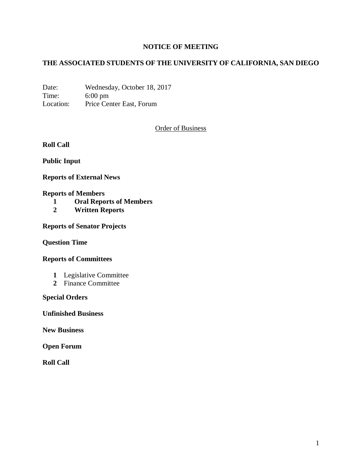# **NOTICE OF MEETING**

## **THE ASSOCIATED STUDENTS OF THE UNIVERSITY OF CALIFORNIA, SAN DIEGO**

Date: Wednesday, October 18, 2017 Time: 6:00 pm Location: Price Center East, Forum

Order of Business

**Roll Call**

**Public Input**

**Reports of External News**

#### **Reports of Members**

- **1 Oral Reports of Members**
- **2 Written Reports**

**Reports of Senator Projects**

**Question Time**

### **Reports of Committees**

- **1** Legislative Committee
- **2** Finance Committee

### **Special Orders**

**Unfinished Business**

**New Business**

**Open Forum**

**Roll Call**